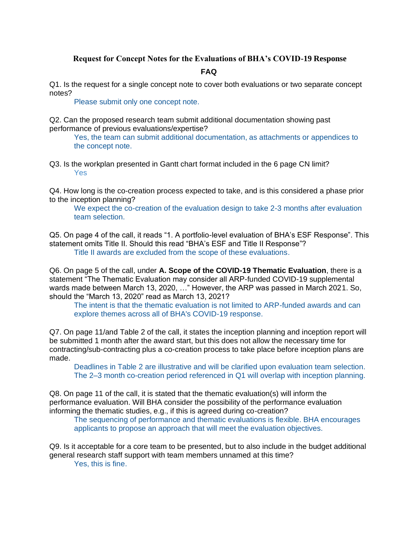## **Request for Concept Notes for the Evaluations of BHA's COVID-19 Response FAQ**

Q1. Is the request for a single concept note to cover both evaluations or two separate concept notes?

Please submit only one concept note.

Q2. Can the proposed research team submit additional documentation showing past performance of previous evaluations/expertise?

Yes, the team can submit additional documentation, as attachments or appendices to the concept note.

Q3. Is the workplan presented in Gantt chart format included in the 6 page CN limit? Yes

Q4. How long is the co-creation process expected to take, and is this considered a phase prior to the inception planning?

We expect the co-creation of the evaluation design to take 2-3 months after evaluation team selection.

Q5. On page 4 of the call, it reads "1. A portfolio-level evaluation of BHA's ESF Response". This statement omits Title II. Should this read "BHA's ESF and Title II Response"? Title II awards are excluded from the scope of these evaluations.

Q6. On page 5 of the call, under **A. Scope of the COVID-19 Thematic Evaluation**, there is a statement "The Thematic Evaluation may consider all ARP-funded COVID-19 supplemental wards made between March 13, 2020, …" However, the ARP was passed in March 2021. So, should the "March 13, 2020" read as March 13, 2021?

The intent is that the thematic evaluation is not limited to ARP-funded awards and can explore themes across all of BHA's COVID-19 response.

Q7. On page 11/and Table 2 of the call, it states the inception planning and inception report will be submitted 1 month after the award start, but this does not allow the necessary time for contracting/sub-contracting plus a co-creation process to take place before inception plans are made.

Deadlines in Table 2 are illustrative and will be clarified upon evaluation team selection. The 2–3 month co-creation period referenced in Q1 will overlap with inception planning.

Q8. On page 11 of the call, it is stated that the thematic evaluation(s) will inform the performance evaluation. Will BHA consider the possibility of the performance evaluation informing the thematic studies, e.g., if this is agreed during co-creation?

The sequencing of performance and thematic evaluations is flexible. BHA encourages applicants to propose an approach that will meet the evaluation objectives.

Q9. Is it acceptable for a core team to be presented, but to also include in the budget additional general research staff support with team members unnamed at this time? Yes, this is fine.